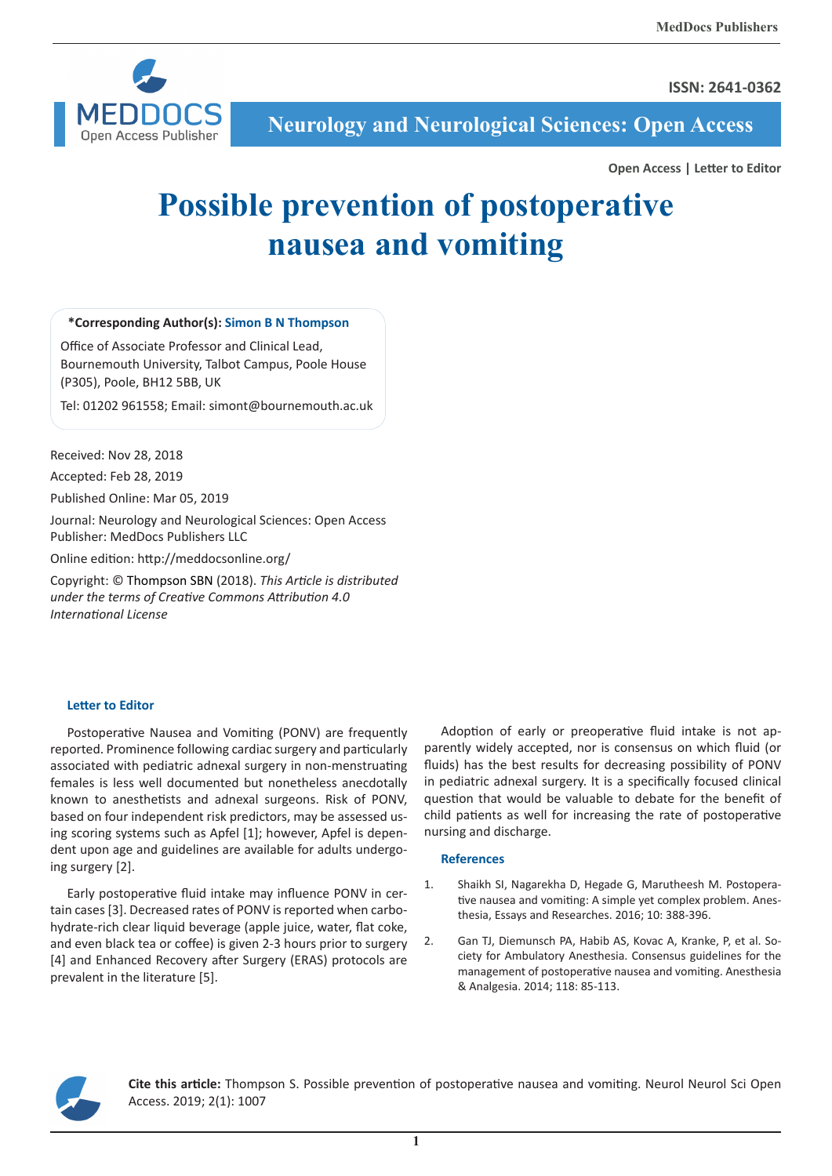**ISSN: 2641-0362** 



**Neurology and Neurological Sciences: Open Access**

**Open Access | Letter to Editor**

## **Possible prevention of postoperative nausea and vomiting**

**\*Corresponding Author(s): Simon B N Thompson**

Office of Associate Professor and Clinical Lead, Bournemouth University, Talbot Campus, Poole House (P305), Poole, BH12 5BB, UK

Tel: 01202 961558; Email: simont@bournemouth.ac.uk

Received: Nov 28, 2018

Accepted: Feb 28, 2019

Published Online: Mar 05, 2019

Journal: Neurology and Neurological Sciences: Open Access Publisher: MedDocs Publishers LLC

Online edition: http://meddocsonline.org/

Copyright: © Thompson SBN (2018). *This Article is distributed under the terms of Creative Commons Attribution 4.0 International License*

## **Letter to Editor**

Postoperative Nausea and Vomiting (PONV) are frequently reported. Prominence following cardiac surgery and particularly associated with pediatric adnexal surgery in non-menstruating females is less well documented but nonetheless anecdotally known to anesthetists and adnexal surgeons. Risk of PONV, based on four independent risk predictors, may be assessed using scoring systems such as Apfel [1]; however, Apfel is dependent upon age and guidelines are available for adults undergoing surgery [2].

Early postoperative fluid intake may influence PONV in certain cases [3]. Decreased rates of PONV is reported when carbohydrate-rich clear liquid beverage (apple juice, water, flat coke, and even black tea or coffee) is given 2-3 hours prior to surgery [4] and Enhanced Recovery after Surgery (ERAS) protocols are prevalent in the literature [5].

Adoption of early or preoperative fluid intake is not apparently widely accepted, nor is consensus on which fluid (or fluids) has the best results for decreasing possibility of PONV in pediatric adnexal surgery. It is a specifically focused clinical question that would be valuable to debate for the benefit of child patients as well for increasing the rate of postoperative nursing and discharge.

## **References**

- 1. Shaikh SI, Nagarekha D, Hegade G, Marutheesh M. Postoperative nausea and vomiting: A simple yet complex problem. Anesthesia, Essays and Researches. 2016; 10: 388-396.
- 2. Gan TJ, Diemunsch PA, Habib AS, Kovac A, Kranke, P, et al. Society for Ambulatory Anesthesia. Consensus guidelines for the management of postoperative nausea and vomiting. Anesthesia & Analgesia. 2014; 118: 85-113.



**Cite this article:** Thompson S. Possible prevention of postoperative nausea and vomiting. Neurol Neurol Sci Open Access. 2019; 2(1): 1007

**1**